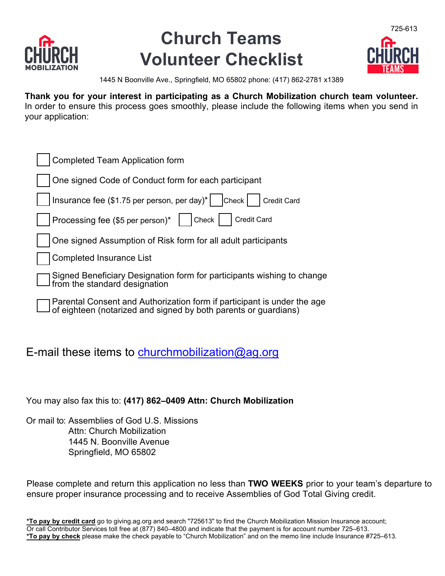

## **Church Teams Volunteer Checklist**



1445 N Boonville Ave., Springfield, MO 65802 phone: (417) 862-2781 x1389

**Thank you for your interest in participating as a Church Mobilization c[hurch](http://www.usmaps.ag.org/) team volunteer.**  In order to ensure this process goes smoothly, please include the following items when you send in your application:

| <b>Completed Team Application form</b>                                                                                                     |
|--------------------------------------------------------------------------------------------------------------------------------------------|
| One signed Code of Conduct form for each participant                                                                                       |
| Insurance fee (\$1.75 per person, per day)*<br> Check <br><b>Credit Card</b>                                                               |
| Processing fee (\$5 per person)*<br><b>Credit Card</b><br>Check                                                                            |
| One signed Assumption of Risk form for all adult participants                                                                              |
| <b>Completed Insurance List</b>                                                                                                            |
| Signed Beneficiary Designation form for participants wishing to change<br>from the standard designation                                    |
| Parental Consent and Authorization form if participant is under the age<br>of eighteen (notarized and signed by both parents or guardians) |

### E-mail these items to [churchmobilization@ag.org](mailto:churchmobilization@ag.org)

You may also fax this to: **[\(417\) 862–0](mailto:usmaps@ag.org)409 Attn: Church Mobilization**

Or mail to: Assemblies of God U.S. Missions Attn: Church Mobilization 1445 N. Boonville Avenue Springfield, MO 65802

Please complete and return this application no less than **TWO WEEKS** prior to your team's departure to ensure proper insurance processing and to receive Assemblies of God Total Giving credit.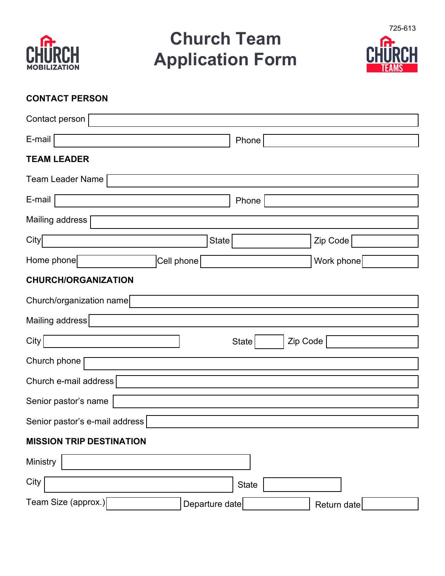

# **Church Team Application Form**



### **CONTACT PERSON**

| Contact person                        |                          |             |
|---------------------------------------|--------------------------|-------------|
| E-mail                                | Phone                    |             |
| TEAM LEADER                           |                          |             |
| <b>Team Leader Name</b>               |                          |             |
| E-mail                                | Phone                    |             |
| Mailing address                       |                          |             |
| City<br><b>State</b>                  |                          | Zip Code    |
| Home phone<br>Cell phone              |                          | Work phone  |
| <b>CHURCH/ORGANIZATION</b>            |                          |             |
| Church/organization name              |                          |             |
| Mailing address                       |                          |             |
| City                                  | Zip Code<br><b>State</b> |             |
| Church phone                          |                          |             |
| Church e-mail address                 |                          |             |
| Senior pastor's name                  |                          |             |
| Senior pastor's e-mail address        |                          |             |
| <b>MISSION TRIP DESTINATION</b>       |                          |             |
| Ministry                              |                          |             |
| City                                  | <b>State</b>             |             |
| Team Size (approx.)<br>Departure date |                          | Return date |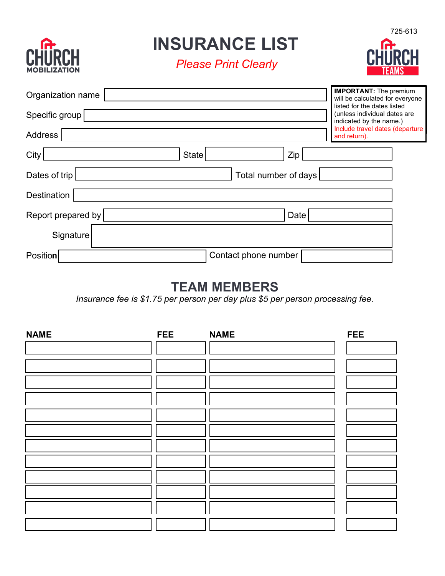

**INSURANCE LIST**

*Please Print Clearly*



| Organization name  |                      | <b>IMPORTANT:</b> The premium<br>will be calculated for everyone                       |
|--------------------|----------------------|----------------------------------------------------------------------------------------|
| Specific group     |                      | listed for the dates listed<br>(unless individual dates are<br>indicated by the name.) |
| Address            |                      | Include travel dates (departure<br>and return).                                        |
| City               | State<br>Zip         |                                                                                        |
| Dates of trip      | Total number of days |                                                                                        |
| Destination        |                      |                                                                                        |
| Report prepared by | Date                 |                                                                                        |
| Signature          |                      |                                                                                        |
| Position           | Contact phone number |                                                                                        |

### **TEAM MEMBERS**

*Insurance fee is \$1.75 per person per day plus \$5 per person processing fee.*

| <b>NAME</b> | <b>FEE</b> | <b>NAME</b> | <b>FEE</b> |
|-------------|------------|-------------|------------|
|             |            |             |            |
|             |            |             |            |
|             |            |             |            |
|             |            |             |            |
|             |            |             |            |
|             |            |             |            |
|             |            |             |            |
|             |            |             |            |
|             |            |             |            |
|             |            |             |            |
|             |            |             |            |
|             |            |             |            |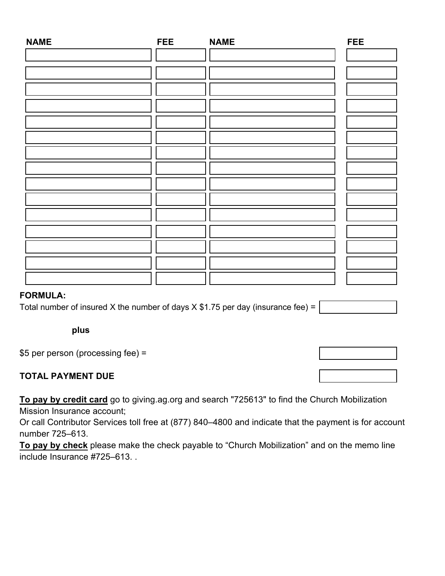| <b>NAME</b> | FEE | <b>NAME</b> | <b>FEE</b> |
|-------------|-----|-------------|------------|
|             |     |             |            |
|             |     |             |            |
|             |     |             |            |
|             |     |             |            |
|             |     |             |            |
|             |     |             |            |
|             |     |             |            |
|             |     |             |            |
|             |     |             |            |
|             |     |             |            |
|             |     |             |            |
|             |     |             |            |
|             |     |             |            |
|             |     |             |            |
|             |     |             |            |

### **FORMULA:**

Total number of insured X the number of days X \$1.75 per day (insurance fee) =

**plus** 

\$5 per person (processing fee) =

### **TOTAL PAYMENT DUE**

**To pay by credit card** go to giving.ag.org and search "725613" to find the Church Mobilization Mission Insurance account;

Or call Contributor Services toll free at (877) 840–4800 and indicate that the payment is for account number 725–613.

**To pay by check** please make the check payable to "Church Mobilization" and on the memo line include Insurance #725–613. .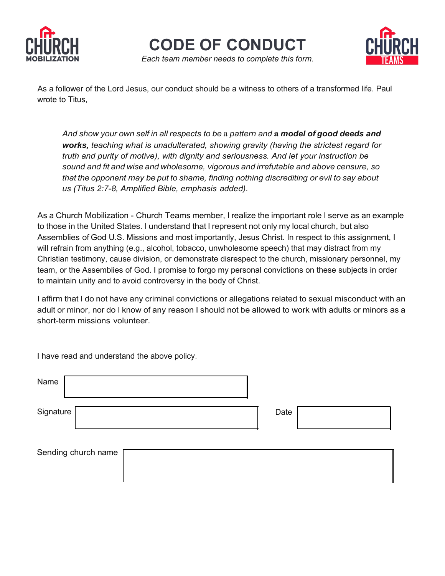

**CODE OF CONDUCT**

*Each team member needs to complete this form.*



As a follower of the Lord Jesus, our conduct should be a witness to others of a transformed life. Paul wrote to Titus,

*And show your own self in all respects to be* a *pattern and* **a** *model of good deeds and works, teaching what is unadulterated, showing gravity (having the strictest regard for truth and purity of motive), with dignity and seriousness. And let your instruction be sound and fit and wise and wholesome, vigorous and irrefutable and above censure, so that the opponent may be put to shame, finding nothing discrediting or evil to say about us (Titus 2:7-8, Amplified Bible, emphasis added).*

As a Church Mobilization - Church Teams member, I realize the important role I serve as an example to those in the United States. I understand that I represent not only my local church, but also Assemblies of God U.S. Missions and most importantly, Jesus Christ. In respect to this assignment, I will refrain from anything (e.g., alcohol, tobacco, unwholesome speech) that may distract from my Christian testimony, cause division, or demonstrate disrespect to the church, missionary personnel, my team, or the Assemblies of God. I promise to forgo my personal convictions on these subjects in order to maintain unity and to avoid controversy in the body of Christ.

I affirm that I do not have any criminal convictions or allegations related to sexual misconduct with an adult or minor, nor do I know of any reason I should not be allowed to work with adults or minors as a short-term missions volunteer.

I have read and understand the above policy.

| Name                |      |  |
|---------------------|------|--|
| Signature           | Date |  |
| Sending church name |      |  |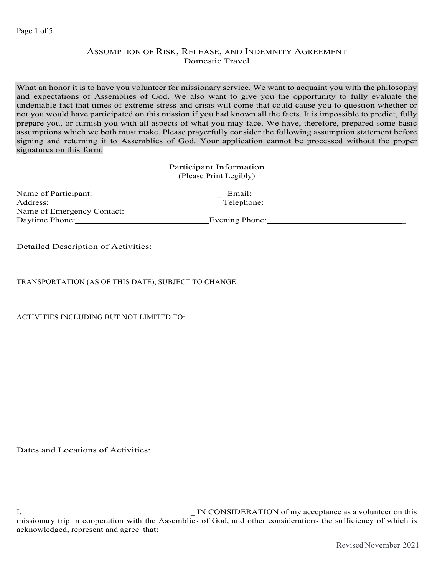#### Page 1 of 5

### ASSUMPTION OF RISK, RELEASE, AND INDEMNITY AGREEMENT Domestic Travel

What an honor it is to have you volunteer for missionary service. We want to acquaint you with the philosophy and expectations of Assemblies of God. We also want to give you the opportunity to fully evaluate the undeniable fact that times of extreme stress and crisis will come that could cause you to question whether or not you would have participated on this mission if you had known all the facts. It is impossible to predict, fully prepare you, or furnish you with all aspects of what you may face. We have, therefore, prepared some basic assumptions which we both must make. Please prayerfully consider the following assumption statement before signing and returning it to Assemblies of God. Your application cannot be processed without the proper signatures on this form.

> Participant Information (Please Print Legibly)

| Name of Participant:       | Email:         |  |
|----------------------------|----------------|--|
| Address:                   | Telephone:     |  |
| Name of Emergency Contact: |                |  |
| Daytime Phone:             | Evening Phone: |  |

Detailed Description of Activities:

TRANSPORTATION (AS OF THIS DATE), SUBJECT TO CHANGE:

ACTIVITIES INCLUDING BUT NOT LIMITED TO:

Dates and Locations of Activities:

I, I. I. IN CONSIDERATION of my acceptance as a volunteer on this missionary trip in cooperation with the Assemblies of God, and other considerations the sufficiency of which is acknowledged, represent and agree that: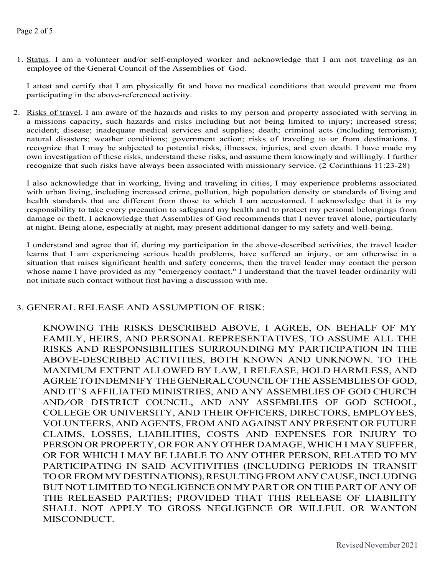1. Status. I am a volunteer and/or self-employed worker and acknowledge that I am not traveling as an employee of the General Council of the Assemblies of God.

I attest and certify that I am physically fit and have no medical conditions that would prevent me from participating in the above-referenced activity.

2. Risks of travel. I am aware of the hazards and risks to my person and property associated with serving in a missions capacity, such hazards and risks including but not being limited to injury; increased stress; accident; disease; inadequate medical services and supplies; death; criminal acts (including terrorism); natural disasters; weather conditions; government action; risks of traveling to or from destinations. I recognize that I may be subjected to potential risks, illnesses, injuries, and even death. I have made my own investigation of these risks, understand these risks, and assume them knowingly and willingly. I further recognize that such risks have always been associated with missionary service. (2 Corinthians 11:23-28)

I also acknowledge that in working, living and traveling in cities, I may experience problems associated with urban living, including increased crime, pollution, high population density or standards of living and health standards that are different from those to which I am accustomed. I acknowledge that it is my responsibility to take every precaution to safeguard my health and to protect my personal belongings from damage or theft. I acknowledge that Assemblies of God recommends that I never travel alone, particularly at night. Being alone, especially at night, may present additional danger to my safety and well-being.

I understand and agree that if, during my participation in the above-described activities, the travel leader learns that I am experiencing serious health problems, have suffered an injury, or am otherwise in a situation that raises significant health and safety concerns, then the travel leader may contact the person whose name I have provided as my "emergency contact." I understand that the travel leader ordinarily will not initiate such contact without first having a discussion with me.

### 3. GENERAL RELEASE AND ASSUMPTION OF RISK:

KNOWING THE RISKS DESCRIBED ABOVE, I AGREE, ON BEHALF OF MY FAMILY, HEIRS, AND PERSONAL REPRESENTATIVES, TO ASSUME ALL THE RISKS AND RESPONSIBILITIES SURROUNDING MY PARTICIPATION IN THE ABOVE-DESCRIBED ACTIVITIES, BOTH KNOWN AND UNKNOWN. TO THE MAXIMUM EXTENT ALLOWED BY LAW, I RELEASE, HOLD HARMLESS, AND AGREETO INDEMNIFY THEGENERALCOUNCILOFTHEASSEMBLIESOFGOD, AND IT'S AFFILIATED MINISTRIES, AND ANY ASSEMBLIES OF GOD CHURCH AND/OR DISTRICT COUNCIL, AND ANY ASSEMBLIES OF GOD SCHOOL, COLLEGE OR UNIVERSITY, AND THEIR OFFICERS, DIRECTORS, EMPLOYEES, VOLUNTEERS, AND AGENTS, FROM AND AGAINST ANY PRESENT ORFUTURE CLAIMS, LOSSES, LIABILITIES, COSTS AND EXPENSES FOR INJURY TO PERSON OR PROPERTY, OR FOR ANY OTHER DAMAGE, WHICH I MAY SUFFER, OR FOR WHICH I MAY BE LIABLE TO ANY OTHER PERSON, RELATED TO MY PARTICIPATING IN SAID ACVITIVITIES (INCLUDING PERIODS IN TRANSIT TOORFROMMYDESTINATIONS),RESULTINGFROMANYCAUSE,INCLUDING BUT NOT LIMITED TO NEGLIGENCE ON MY PART OR ON THE PART OF ANY OF THE RELEASED PARTIES; PROVIDED THAT THIS RELEASE OF LIABILITY SHALL NOT APPLY TO GROSS NEGLIGENCE OR WILLFUL OR WANTON MISCONDUCT.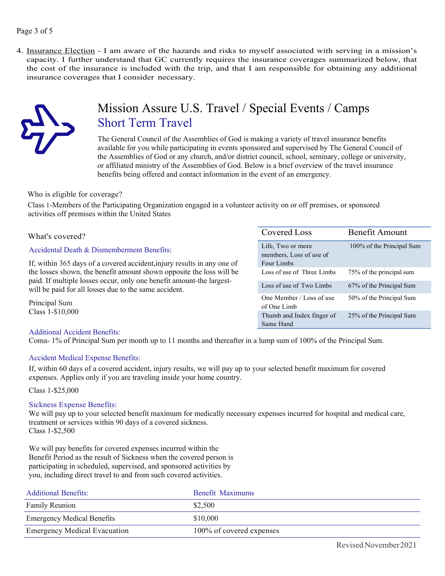### Page 3 of 5

4. Insurance Election - I am aware of the hazards and risks to myself associated with serving in a mission's capacity. I further understand that GC currently requires the insurance coverages summarized below, that the cost of the insurance is included with the trip, and that I am responsible for obtaining any additional insurance coverages that I consider necessary.



## Mission Assure U.S. Travel / Special Events / Camps Short Term Travel

The General Council of the Assemblies of God is making a variety of travel insurance benefits available for you while participating in events sponsored and supervised by The General Council of the Assemblies of God or any church, and/or district council, school, seminary, college or university, or affiliated ministry of the Assemblies of God. Below is a brief overview of the travel insurance benefits being offered and contact information in the event of an emergency.

### Who is eligible for coverage?

Class 1-Members of the Participating Organization engaged in a volunteer activity on or off premises, or sponsored activities off premises within the United States

| What's covered?                                                                                                                                                                                       | Covered Loss                                 | Benefit Amount            |
|-------------------------------------------------------------------------------------------------------------------------------------------------------------------------------------------------------|----------------------------------------------|---------------------------|
| Accidental Death & Dismemberment Benefits:                                                                                                                                                            | Life, Two or more<br>members, Loss of use of | 100% of the Principal Sum |
| If, within 365 days of a covered accident, injury results in any one of                                                                                                                               | Four Limbs                                   |                           |
| the losses shown, the benefit amount shown opposite the loss will be<br>paid. If multiple losses occur, only one benefit amount-the largest-<br>will be paid for all losses due to the same accident. | Loss of use of Three Limbs                   | 75% of the principal sum  |
|                                                                                                                                                                                                       | Loss of use of Two Limbs                     | 67% of the Principal Sum  |
| Principal Sum<br>Class 1-\$10,000                                                                                                                                                                     | One Member / Loss of use<br>of One Limb      | 50% of the Principal Sum  |
|                                                                                                                                                                                                       | Thumb and Index finger of                    | 25% of the Principal Sum  |

Same Hand

### Additional Accident Benefits:

Coma- 1% of Principal Sum per month up to 11 months and thereafter in a lump sum of 100% of the Principal Sum.

### Accident Medical Expense Benefits:

If, within 60 days of a covered accident, injury results, we will pay up to your selected benefit maximum for covered expenses. Applies only if you are traveling inside your home country.

Class 1-\$25,000

### Sickness Expense Benefits:

We will pay up to your selected benefit maximum for medically necessary expenses incurred for hospital and medical care, treatment or services within 90 days of a covered sickness. Class 1-\$2,500

We will pay benefits for covered expenses incurred within the Benefit Period as the result of Sickness when the covered person is participating in scheduled, supervised, and sponsored activities by you, including direct travel to and from such covered activities.

| Additional Benefits:                | Benefit Maximums         |
|-------------------------------------|--------------------------|
| <b>Family Reunion</b>               | \$2,500                  |
| <b>Emergency Medical Benefits</b>   | \$10,000                 |
| <b>Emergency Medical Evacuation</b> | 100% of covered expenses |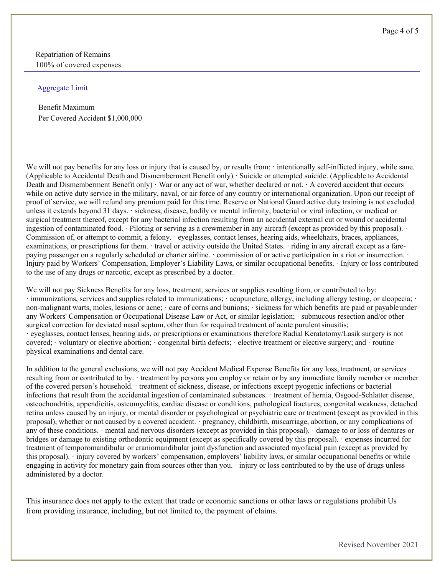Repatriation of Remains 100% of covered expenses

#### Aggregate Limit

Benefit Maximum Per Covered Accident \$1,000,000

We will not pay benefits for any loss or injury that is caused by, or results from: · intentionally self-inflicted injury, while sane. (Applicable to Accidental Death and Dismemberment Benefit only) · Suicide or attempted suicide. (Applicable to Accidental Death and Dismemberment Benefit only) · War or any act of war, whether declared or not. · A covered accident that occurs while on active duty service in the military, naval, or air force of any country or international organization. Upon our receipt of proof of service, we will refund any premium paid for this time. Reserve or National Guard active duty training is not excluded unless it extends beyond 31 days. · sickness, disease, bodily or mental infirmity, bacterial or viral infection, or medical or surgical treatment thereof, except for any bacterial infection resulting from an accidental external cut or wound or accidental ingestion of contaminated food. · Piloting or serving as a crewmember in any aircraft (except as provided by this proposal). · Commission of, or attempt to commit, a felony. · eyeglasses, contact lenses, hearing aids, wheelchairs, braces, appliances, examinations, or prescriptions for them. · travel or activity outside the United States. · riding in any aircraft except as a farepaying passenger on a regularly scheduled or charter airline. · commission of or active participation in a riot or insurrection. · Injury paid by Workers' Compensation, Employer's Liability Laws, or similar occupational benefits. · Injury or loss contributed to the use of any drugs or narcotic, except as prescribed by a doctor.

We will not pay Sickness Benefits for any loss, treatment, services or supplies resulting from, or contributed to by: · immunizations, services and supplies related to immunizations; · acupuncture, allergy, including allergy testing, or alcopecia; · non-malignant warts, moles, lesions or acne; · care of corns and bunions; · sickness for which benefits are paid or payable under any Workers' Compensation or Occupational Disease Law or Act, or similar legislation; · submucous resection and/or other surgical correction for deviated nasal septum, other than for required treatment of acute purulent sinusitis; · eyeglasses, contact lenses, hearing aids, or prescriptions or examinations therefore Radial Keratotomy/Lasik surgery is not covered; · voluntary or elective abortion; · congenital birth defects; · elective treatment or elective surgery; and · routine physical examinations and dental care.

In addition to the general exclusions, we will not pay Accident Medical Expense Benefits for any loss, treatment, or services resulting from or contributed to by: · treatment by persons you employ or retain or by any immediate family member or member of the covered person's household. · treatment of sickness, disease, or infections except pyogenic infections or bacterial infections that result from the accidental ingestion of contaminated substances. · treatment of hernia, Osgood-Schlatter disease, osteochondritis, appendicitis, osteomyelitis, cardiac disease or conditions, pathological fractures, congenital weakness, detached retina unless caused by an injury, or mental disorder or psychological or psychiatric care or treatment (except as provided in this proposal), whether or not caused by a covered accident. · pregnancy, childbirth, miscarriage, abortion, or any complications of any of these conditions. · mental and nervous disorders (except as provided in this proposal). · damage to or loss of dentures or bridges or damage to existing orthodontic equipment (except as specifically covered by this proposal). · expenses incurred for treatment of temporomandibular or craniomandibular joint dysfunction and associated myofacial pain (except as provided by this proposal). · injury covered by workers' compensation, employers' liability laws, or similar occupational benefits or while engaging in activity for monetary gain from sources other than you. · injury or loss contributed to by the use of drugs unless administered by a doctor.

This insurance does not apply to the extent that trade or economic sanctions or other laws or regulations prohibit Us from providing insurance, including, but not limited to, the payment of claims.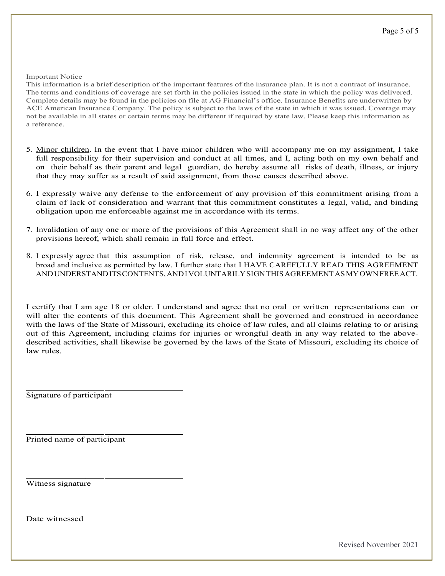Important Notice

This information is a brief description of the important features of the insurance plan. It is not a contract of insurance. The terms and conditions of coverage are set forth in the policies issued in the state in which the policy was delivered. Complete details may be found in the policies on file at AG Financial's office. Insurance Benefits are underwritten by ACE American Insurance Company. The policy is subject to the laws of the state in which it was issued. Coverage may not be available in all states or certain terms may be different if required by state law. Please keep this information as a reference.

- 5. Minor children. In the event that I have minor children who will accompany me on my assignment, I take full responsibility for their supervision and conduct at all times, and I, acting both on my own behalf and on their behalf as their parent and legal guardian, do hereby assume all risks of death, illness, or injury that they may suffer as a result of said assignment, from those causes described above.
- 6. I expressly waive any defense to the enforcement of any provision of this commitment arising from a claim of lack of consideration and warrant that this commitment constitutes a legal, valid, and binding obligation upon me enforceable against me in accordance with its terms.
- 7. Invalidation of any one or more of the provisions of this Agreement shall in no way affect any of the other provisions hereof, which shall remain in full force and effect.
- 8. I expressly agree that this assumption of risk, release, and indemnity agreement is intended to be as broad and inclusive as permitted by law. I further state that I HAVE CAREFULLY READ THIS AGREEMENT ANDUNDERSTANDITSCONTENTS,AND I VOLUNTARILYSIGNTHISAGREEMENTASMYOWNFREEACT.

I certify that I am age 18 or older. I understand and agree that no oral or written representations can or will alter the contents of this document. This Agreement shall be governed and construed in accordance with the laws of the State of Missouri, excluding its choice of law rules, and all claims relating to or arising out of this Agreement, including claims for injuries or wrongful death in any way related to the abovedescribed activities, shall likewise be governed by the laws of the State of Missouri, excluding its choice of law rules.

Signature of participant

Printed name of participant

Witness signature

Date witnessed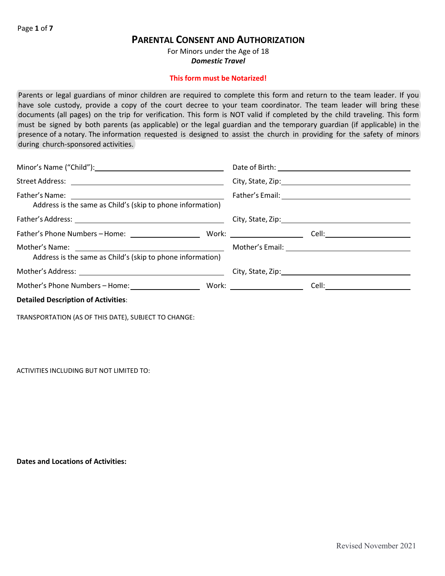### **PARENTAL CONSENT AND AUTHORIZATION**

For Minors under the Age of 18 *Domestic Travel* 

### **This form must be Notarized!**

Parents or legal guardians of minor children are required to complete this form and return to the team leader. If you have sole custody, provide a copy of the court decree to your team coordinator. The team leader will bring these documents (all pages) on the trip for verification. This form is NOT valid if completed by the child traveling. This form must be signed by both parents (as applicable) or the legal guardian and the temporary guardian (if applicable) in the presence of a notary. The information requested is designed to assist the church in providing for the safety of minors during church-sponsored activities.

| Address is the same as Child's (skip to phone information) |  |
|------------------------------------------------------------|--|
|                                                            |  |
|                                                            |  |
| Address is the same as Child's (skip to phone information) |  |
|                                                            |  |
|                                                            |  |
| <b>Detailed Description of Activities:</b>                 |  |

TRANSPORTATION (AS OF THIS DATE), SUBJECT TO CHANGE:

ACTIVITIES INCLUDING BUT NOT LIMITED TO:

**Dates and Locations of Activities:**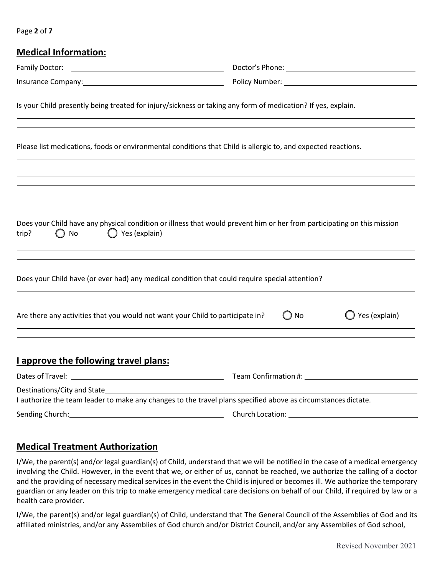Page **2** of **7** 

| <b>Medical Information:</b>                                                                                                                                                                                                    |                                                                                  |               |                                                                                                                                                                                                                                |
|--------------------------------------------------------------------------------------------------------------------------------------------------------------------------------------------------------------------------------|----------------------------------------------------------------------------------|---------------|--------------------------------------------------------------------------------------------------------------------------------------------------------------------------------------------------------------------------------|
| Family Doctor:                                                                                                                                                                                                                 |                                                                                  |               |                                                                                                                                                                                                                                |
| Insurance Company: Note and the Company of the Company of the Company of the Company of the Company of the Company of the Company of the Company of the Company of the Company of the Company of the Company of the Company of |                                                                                  |               | Policy Number: 1997                                                                                                                                                                                                            |
| Is your Child presently being treated for injury/sickness or taking any form of medication? If yes, explain.                                                                                                                   |                                                                                  |               |                                                                                                                                                                                                                                |
| Please list medications, foods or environmental conditions that Child is allergic to, and expected reactions.                                                                                                                  |                                                                                  |               |                                                                                                                                                                                                                                |
|                                                                                                                                                                                                                                | ,我们也不会有什么。""我们的人,我们也不会有什么?""我们的人,我们也不会有什么?""我们的人,我们也不会有什么?""我们的人,我们也不会有什么?""我们的人 |               |                                                                                                                                                                                                                                |
| Does your Child have any physical condition or illness that would prevent him or her from participating on this mission<br>$\bigcirc$ Yes (explain)<br>trip?<br>No                                                             |                                                                                  |               |                                                                                                                                                                                                                                |
| Does your Child have (or ever had) any medical condition that could require special attention?                                                                                                                                 |                                                                                  |               |                                                                                                                                                                                                                                |
| Are there any activities that you would not want your Child to participate in?<br>and the control of the control of the control of the control of the control of the control of the control of the                             |                                                                                  | $\bigcirc$ No | $\bigcirc$ Yes (explain)                                                                                                                                                                                                       |
| I approve the following travel plans:                                                                                                                                                                                          |                                                                                  |               |                                                                                                                                                                                                                                |
|                                                                                                                                                                                                                                |                                                                                  |               | Team Confirmation #: The Continuent of the Continuent of the Continuent of the Continuent of the Continuent of the Continuent of the Continuent of the Continuent of the Continuent of the Continuent of the Continuent of the |
| Destinations/City and State<br>I authorize the team leader to make any changes to the travel plans specified above as circumstances dictate.                                                                                   |                                                                                  |               |                                                                                                                                                                                                                                |
| Sending Church:                                                                                                                                                                                                                | Church Location:                                                                 |               |                                                                                                                                                                                                                                |

### **Medical Treatment Authorization**

I/We, the parent(s) and/or legal guardian(s) of Child, understand that we will be notified in the case of a medical emergency involving the Child. However, in the event that we, or either of us, cannot be reached, we authorize the calling of a doctor and the providing of necessary medical services in the event the Child is injured or becomes ill. We authorize the temporary guardian or any leader on this trip to make emergency medical care decisions on behalf of our Child, if required by law or a health care provider.

I/We, the parent(s) and/or legal guardian(s) of Child, understand that The General Council of the Assemblies of God and its affiliated ministries, and/or any Assemblies of God church and/or District Council, and/or any Assemblies of God school,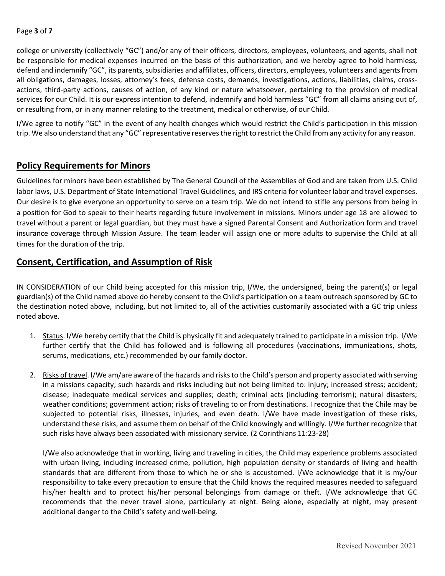### Page **3** of **7**

college or university (collectively "GC") and/or any of their officers, directors, employees, volunteers, and agents, shall not be responsible for medical expenses incurred on the basis of this authorization, and we hereby agree to hold harmless, defend and indemnify "GC", its parents, subsidiaries and affiliates, officers, directors, employees, volunteers and agents from all obligations, damages, losses, attorney's fees, defense costs, demands, investigations, actions, liabilities, claims, crossactions, third-party actions, causes of action, of any kind or nature whatsoever, pertaining to the provision of medical services for our Child. It is our express intention to defend, indemnify and hold harmless "GC" from all claims arising out of, or resulting from, or in any manner relating to the treatment, medical or otherwise, of our Child.

I/We agree to notify "GC" in the event of any health changes which would restrict the Child's participation in this mission trip. We also understand that any "GC" representative reserves the right to restrict the Child from any activity for any reason.

### **Policy Requirements for Minors**

Guidelines for minors have been established by The General Council of the Assemblies of God and are taken from U.S. Child labor laws, U.S. Department of State International Travel Guidelines, and IRS criteria for volunteer labor and travel expenses. Our desire is to give everyone an opportunity to serve on a team trip. We do not intend to stifle any persons from being in a position for God to speak to their hearts regarding future involvement in missions. Minors under age 18 are allowed to travel without a parent or legal guardian, but they must have a signed Parental Consent and Authorization form and travel insurance coverage through Mission Assure. The team leader will assign one or more adults to supervise the Child at all times for the duration of the trip.

### **Consent, Certification, and Assumption of Risk**

IN CONSIDERATION of our Child being accepted for this mission trip, I/We, the undersigned, being the parent(s) or legal guardian(s) of the Child named above do hereby consent to the Child's participation on a team outreach sponsored by GC to the destination noted above, including, but not limited to, all of the activities customarily associated with a GC trip unless noted above.

- 1. Status. I/We hereby certify that the Child is physically fit and adequately trained to participate in a mission trip. I/We further certify that the Child has followed and is following all procedures (vaccinations, immunizations, shots, serums, medications, etc.) recommended by our family doctor.
- 2. Risks of travel. I/We am/are aware of the hazards and risks to the Child's person and property associated with serving in a missions capacity; such hazards and risks including but not being limited to: injury; increased stress; accident; disease; inadequate medical services and supplies; death; criminal acts (including terrorism); natural disasters; weather conditions; government action; risks of traveling to or from destinations. I recognize that the Chile may be subjected to potential risks, illnesses, injuries, and even death. I/We have made investigation of these risks, understand these risks, and assume them on behalf of the Child knowingly and willingly. I/We further recognize that such risks have always been associated with missionary service. (2 Corinthians 11:23-28)

I/We also acknowledge that in working, living and traveling in cities, the Child may experience problems associated with urban living, including increased crime, pollution, high population density or standards of living and health standards that are different from those to which he or she is accustomed. I/We acknowledge that it is my/our responsibility to take every precaution to ensure that the Child knows the required measures needed to safeguard his/her health and to protect his/her personal belongings from damage or theft. I/We acknowledge that GC recommends that the never travel alone, particularly at night. Being alone, especially at night, may present additional danger to the Child's safety and well-being.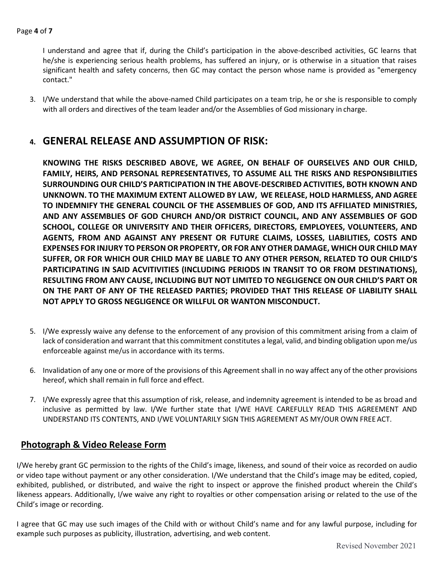I understand and agree that if, during the Child's participation in the above-described activities, GC learns that he/she is experiencing serious health problems, has suffered an injury, or is otherwise in a situation that raises significant health and safety concerns, then GC may contact the person whose name is provided as "emergency contact."

3. I/We understand that while the above-named Child participates on a team trip, he or she is responsible to comply with all orders and directives of the team leader and/or the Assemblies of God missionary in charge.

### **4. GENERAL RELEASE AND ASSUMPTION OF RISK:**

**KNOWING THE RISKS DESCRIBED ABOVE, WE AGREE, ON BEHALF OF OURSELVES AND OUR CHILD, FAMILY, HEIRS, AND PERSONAL REPRESENTATIVES, TO ASSUME ALL THE RISKS AND RESPONSIBILITIES SURROUNDING OUR CHILD'S PARTICIPATION IN THE ABOVE-DESCRIBED ACTIVITIES, BOTH KNOWN AND UNKNOWN. TO THE MAXIMUM EXTENT ALLOWED BY LAW, WE RELEASE, HOLD HARMLESS, AND AGREE TO INDEMNIFY THE GENERAL COUNCIL OF THE ASSEMBLIES OF GOD, AND ITS AFFILIATED MINISTRIES, AND ANY ASSEMBLIES OF GOD CHURCH AND/OR DISTRICT COUNCIL, AND ANY ASSEMBLIES OF GOD SCHOOL, COLLEGE OR UNIVERSITY AND THEIR OFFICERS, DIRECTORS, EMPLOYEES, VOLUNTEERS, AND AGENTS, FROM AND AGAINST ANY PRESENT OR FUTURE CLAIMS, LOSSES, LIABILITIES, COSTS AND EXPENSES FOR INJURY TO PERSON OR PROPERTY, OR FOR ANY OTHER DAMAGE, WHICH OUR CHILD MAY SUFFER, OR FOR WHICH OUR CHILD MAY BE LIABLE TO ANY OTHER PERSON, RELATED TO OUR CHILD'S PARTICIPATING IN SAID ACVITIVITIES (INCLUDING PERIODS IN TRANSIT TO OR FROM DESTINATIONS), RESULTING FROM ANY CAUSE, INCLUDING BUT NOT LIMITED TO NEGLIGENCE ON OUR CHILD'S PART OR ON THE PART OF ANY OF THE RELEASED PARTIES; PROVIDED THAT THIS RELEASE OF LIABILITY SHALL NOT APPLY TO GROSS NEGLIGENCE OR WILLFUL OR WANTON MISCONDUCT.**

- 5. I/We expressly waive any defense to the enforcement of any provision of this commitment arising from a claim of lack of consideration and warrant that this commitment constitutes a legal, valid, and binding obligation upon me/us enforceable against me/us in accordance with its terms.
- 6. Invalidation of any one or more of the provisions of this Agreement shall in no way affect any of the other provisions hereof, which shall remain in full force and effect.
- 7. I/We expressly agree that this assumption of risk, release, and indemnity agreement is intended to be as broad and inclusive as permitted by law. I/We further state that I/WE HAVE CAREFULLY READ THIS AGREEMENT AND UNDERSTAND ITS CONTENTS, AND I/WE VOLUNTARILY SIGN THIS AGREEMENT AS MY/OUR OWN FREE ACT.

### **Photograph & Video Release Form**

I/We hereby grant GC permission to the rights of the Child's image, likeness, and sound of their voice as recorded on audio or video tape without payment or any other consideration. I/We understand that the Child's image may be edited, copied, exhibited, published, or distributed, and waive the right to inspect or approve the finished product wherein the Child's likeness appears. Additionally, I/we waive any right to royalties or other compensation arising or related to the use of the Child's image or recording.

I agree that GC may use such images of the Child with or without Child's name and for any lawful purpose, including for example such purposes as publicity, illustration, advertising, and web content.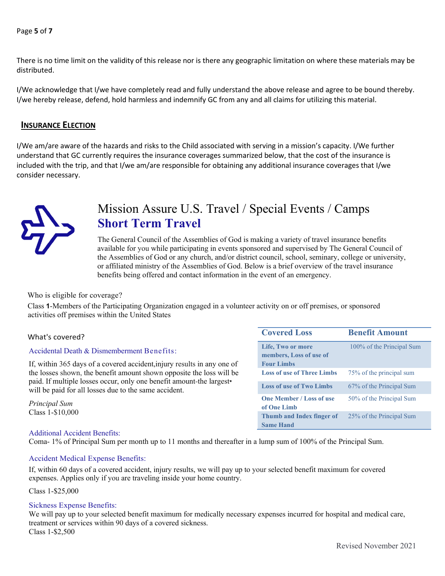### Page **5** of **7**

There is no time limit on the validity of this release nor is there any geographic limitation on where these materials may be distributed.

I/We acknowledge that I/we have completely read and fully understand the above release and agree to be bound thereby. I/we hereby release, defend, hold harmless and indemnify GC from any and all claims for utilizing this material.

### **INSURANCE ELECTION**

I/We am/are aware of the hazards and risks to the Child associated with serving in a mission's capacity. I/We further understand that GC currently requires the insurance coverages summarized below, that the cost of the insurance is included with the trip, and that I/we am/are responsible for obtaining any additional insurance coverages that I/we consider necessary.



### Mission Assure U.S. Travel / Special Events / Camps **Short Term Travel**

The General Council of the Assemblies of God is making a variety of travel insurance benefits available for you while participating in events sponsored and supervised by The General Council of the Assemblies of God or any church, and/or district council, school, seminary, college or university, or affiliated ministry of the Assemblies of God. Below is a brief overview of the travel insurance benefits being offered and contact information in the event of an emergency.

#### Who is eligible for coverage?

Class **1**-Members of the Participating Organization engaged in a volunteer activity on or off premises, or sponsored activities off premises within the United States

#### Accidental Death & Dismemberment Benefits:

#### Additional Accident Benefits:

Coma- 1% of Principal Sum per month up to 11 months and thereafter in a lump sum of 100% of the Principal Sum.

#### Accident Medical Expense Benefits:

If, within 60 days of a covered accident, injury results, we will pay up to your selected benefit maximum for covered expenses. Applies only if you are traveling inside your home country.

#### Class 1-\$25,000

#### Sickness Expense Benefits:

We will pay up to your selected benefit maximum for medically necessary expenses incurred for hospital and medical care, treatment or services within 90 days of a covered sickness. Class 1-\$2,500

| What's covered?                                                                                                                              | <b>Covered Loss</b>                                               | <b>Benefit Amount</b>     |
|----------------------------------------------------------------------------------------------------------------------------------------------|-------------------------------------------------------------------|---------------------------|
| Accidental Death & Dismemberment Benefits:<br>If, within 365 days of a covered accident, injury results in any one of                        | Life, Two or more<br>members, Loss of use of<br><b>Four Limbs</b> | 100% of the Principal Sum |
| the losses shown, the benefit amount shown opposite the loss will be<br>paid. If multiple losses occur, only one benefit amount-the largest• | <b>Loss of use of Three Limbs</b>                                 | 75% of the principal sum  |
| will be paid for all losses due to the same accident.                                                                                        | <b>Loss of use of Two Limbs</b>                                   | 67% of the Principal Sum  |
| Principal Sum                                                                                                                                | <b>One Member / Loss of use</b><br>of One Limb                    | 50% of the Principal Sum  |
| Class 1-\$10,000                                                                                                                             | Thumb and Index finger of<br><b>Same Hand</b>                     | 25% of the Principal Sum  |
| $\lambda$ 1.12. $\lambda$ 1.4 $\lambda$ 1.1 $\lambda$ 1.1 $\alpha$ $\lambda$                                                                 |                                                                   |                           |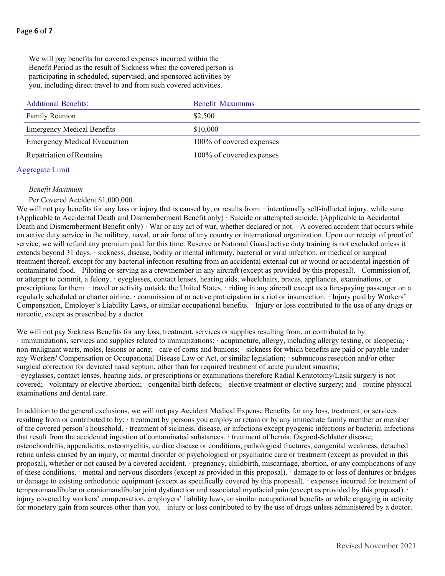We will pay benefits for covered expenses incurred within the Benefit Period as the result of Sickness when the covered person is participating in scheduled, supervised, and sponsored activities by you, including direct travel to and from such covered activities.

| <b>Additional Benefits:</b>         | Benefit Maximums         |
|-------------------------------------|--------------------------|
| Family Reunion                      | \$2,500                  |
| <b>Emergency Medical Benefits</b>   | \$10,000                 |
| <b>Emergency Medical Evacuation</b> | 100% of covered expenses |
| Repatriation of Remains             | 100% of covered expenses |

#### Aggregate Limit

#### *Benefit Maximum*

#### Per Covered Accident \$1,000,000

We will not pay benefits for any loss or injury that is caused by, or results from: · intentionally self-inflicted injury, while sane. (Applicable to Accidental Death and Dismemberment Benefit only) · Suicide or attempted suicide. (Applicable to Accidental Death and Dismemberment Benefit only) · War or any act of war, whether declared or not. · A covered accident that occurs while on active duty service in the military, naval, or air force of any country or international organization. Upon our receipt of proof of service, we will refund any premium paid for this time. Reserve or National Guard active duty training is not excluded unless it extends beyond 31 days. · sickness, disease, bodily or mental infirmity, bacterial or viral infection, or medical or surgical treatment thereof, except for any bacterial infection resulting from an accidental external cut or wound or accidental ingestion of contaminated food. · Piloting or serving as a crewmember in any aircraft (except as provided by this proposal). · Commission of, or attempt to commit, a felony. · eyeglasses, contact lenses, hearing aids, wheelchairs, braces, appliances, examinations, or prescriptions for them. · travel or activity outside the United States. · riding in any aircraft except as a fare-paying passenger on a regularly scheduled or charter airline. · commission of or active participation in a riot or insurrection. · Injury paid by Workers' Compensation, Employer's Liability Laws, or similar occupational benefits. · Injury or loss contributed to the use of any drugs or narcotic, except as prescribed by a doctor.

We will not pay Sickness Benefits for any loss, treatment, services or supplies resulting from, or contributed to by: · immunizations, services and supplies related to immunizations; · acupuncture, allergy, including allergy testing, or alcopecia; · non-malignant warts, moles, lesions or acne; · care of corns and bunions; · sickness for which benefits are paid or payable under any Workers' Compensation or Occupational Disease Law or Act, or similar legislation; · submucous resection and/or other surgical correction for deviated nasal septum, other than for required treatment of acute purulent sinusitis; · eyeglasses, contact lenses, hearing aids, or prescriptions or examinations therefore Radial Keratotomy/Lasik surgery is not covered; · voluntary or elective abortion; · congenital birth defects; · elective treatment or elective surgery; and · routine physical examinations and dental care.

In addition to the general exclusions, we will not pay Accident Medical Expense Benefits for any loss, treatment, or services resulting from or contributed to by: · treatment by persons you employ or retain or by any immediate family member or member of the covered person's household. · treatment of sickness, disease, or infections except pyogenic infections or bacterial infections that result from the accidental ingestion of contaminated substances. · treatment of hernia, Osgood-Schlatter disease, osteochondritis, appendicitis, osteomyelitis, cardiac disease or conditions, pathological fractures, congenital weakness, detached retina unless caused by an injury, or mental disorder or psychological or psychiatric care or treatment (except as provided in this proposal), whether or not caused by a covered accident. · pregnancy, childbirth, miscarriage, abortion, or any complications of any of these conditions. · mental and nervous disorders (except as provided in this proposal). · damage to or loss of dentures or bridges or damage to existing orthodontic equipment (except as specifically covered by this proposal). · expenses incurred for treatment of temporomandibular or craniomandibular joint dysfunction and associated myofacial pain (except as provided by this proposal). · injury covered by workers' compensation, employers' liability laws, or similar occupational benefits or while engaging in activity for monetary gain from sources other than you.  $\cdot$  injury or loss contributed to by the use of drugs unless administered by a doctor.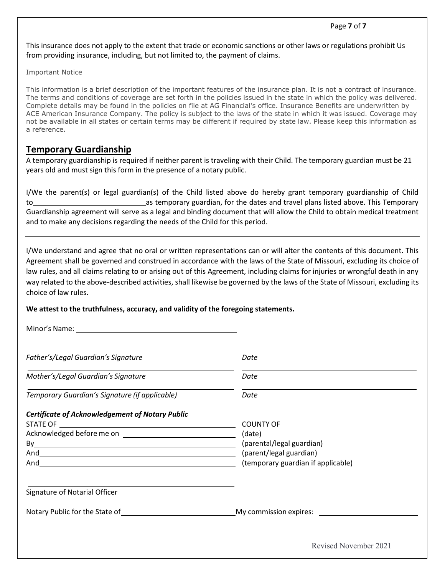This insurance does not apply to the extent that trade or economic sanctions or other laws or regulations prohibit Us from providing insurance, including, but not limited to, the payment of claims.

Important Notice

This information is a brief description of the important features of the insurance plan. It is not a contract of insurance. The terms and conditions of coverage are set forth in the policies issued in the state in which the policy was delivered. Complete details may be found in the policies on file at AG Financial's office. Insurance Benefits are underwritten by ACE American Insurance Company. The policy is subject to the laws of the state in which it was issued. Coverage may not be available in all states or certain terms may be different if required by state law. Please keep this information as a reference.

### **Temporary Guardianship**

A temporary guardianship is required if neither parent is traveling with their Child. The temporary guardian must be 21 years old and must sign this form in the presence of a notary public.

I/We the parent(s) or legal guardian(s) of the Child listed above do hereby grant temporary guardianship of Child to as temporary guardian, for the dates and travel plans listed above. This Temporary Guardianship agreement will serve as a legal and binding document that will allow the Child to obtain medical treatment and to make any decisions regarding the needs of the Child for this period.

I/We understand and agree that no oral or written representations can or will alter the contents of this document. This Agreement shall be governed and construed in accordance with the laws of the State of Missouri, excluding its choice of law rules, and all claims relating to or arising out of this Agreement, including claims for injuries or wrongful death in any way related to the above-described activities, shall likewise be governed by the laws of the State of Missouri, excluding its choice of law rules.

### **We attest to the truthfulness, accuracy, and validity of the foregoing statements.**

Minor's Name:

| Father's/Legal Guardian's Signature                           | Date                                                            |
|---------------------------------------------------------------|-----------------------------------------------------------------|
| Mother's/Legal Guardian's Signature                           | Date                                                            |
| Temporary Guardian's Signature (if applicable)                | Date                                                            |
| <b>Certificate of Acknowledgement of Notary Public</b>        |                                                                 |
|                                                               | COUNTY OF <u>________________________</u>                       |
|                                                               | (date)                                                          |
|                                                               | (parental/legal guardian)                                       |
|                                                               | (parent/legal guardian)                                         |
|                                                               | (temporary guardian if applicable)                              |
| Signature of Notarial Officer                                 |                                                                 |
| Notary Public for the State of Notary Public for the State of | My commission expires: <u>_________________________________</u> |

Revised November 2021